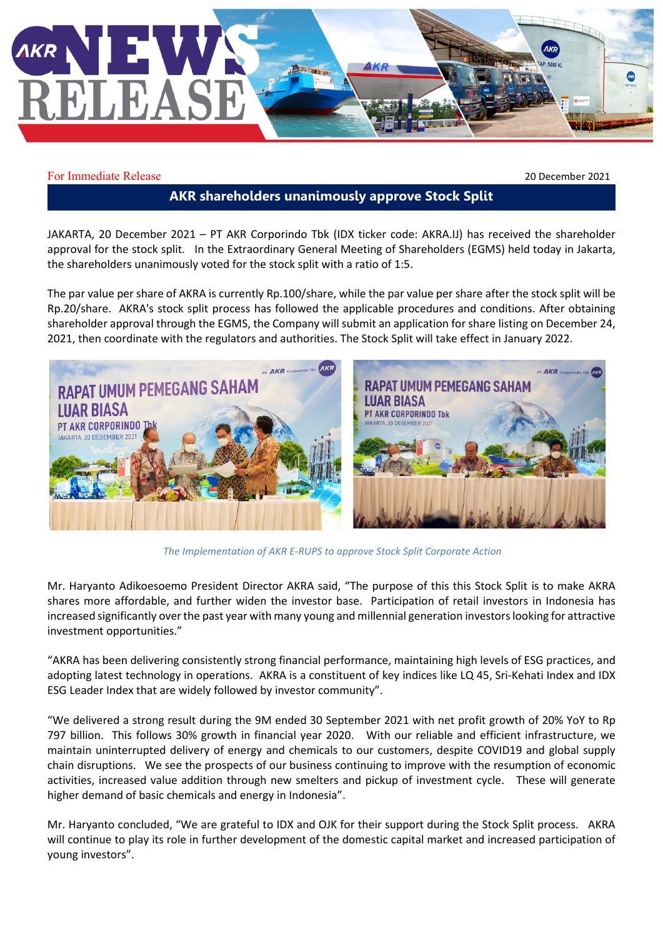

For Immediate Release 2021

## **AKR shareholders unanimously approve Stock Split**

JAKARTA, 20 December 2021 – PT AKR Corporindo Tbk (IDX ticker code: AKRA.IJ) has received the shareholder approval for the stock split. In the Extraordinary General Meeting of Shareholders (EGMS) held today in Jakarta, the shareholders unanimously voted for the stock split with a ratio of 1:5.

The par value per share of AKRA is currently Rp.100/share, while the par value per share after the stock split will be Rp.20/share. AKRA's stock split process has followed the applicable procedures and conditions. After obtaining shareholder approval through the EGMS, the Company will submit an application for share listing on December 24, 2021, then coordinate with the regulators and authorities. The Stock Split will take effect in January 2022.



*The Implementation of AKR E-RUPS to approve Stock Split Corporate Action*

Mr. Haryanto Adikoesoemo President Director AKRA said, "The purpose of this this Stock Split is to make AKRA shares more affordable, and further widen the investor base. Participation of retail investors in Indonesia has increased significantly over the past year with many young and millennial generation investorslooking for attractive investment opportunities."

"AKRA has been delivering consistently strong financial performance, maintaining high levels of ESG practices, and adopting latest technology in operations. AKRA is a constituent of key indices like LQ 45, Sri-Kehati Index and IDX ESG Leader Index that are widely followed by investor community".

"We delivered a strong result during the 9M ended 30 September 2021 with net profit growth of 20% YoY to Rp 797 billion. This follows 30% growth in financial year 2020. With our reliable and efficient infrastructure, we maintain uninterrupted delivery of energy and chemicals to our customers, despite COVID19 and global supply chain disruptions. We see the prospects of our business continuing to improve with the resumption of economic activities, increased value addition through new smelters and pickup of investment cycle. These will generate higher demand of basic chemicals and energy in Indonesia".

Mr. Haryanto concluded, "We are grateful to IDX and OJK for their support during the Stock Split process. AKRA will continue to play its role in further development of the domestic capital market and increased participation of young investors".